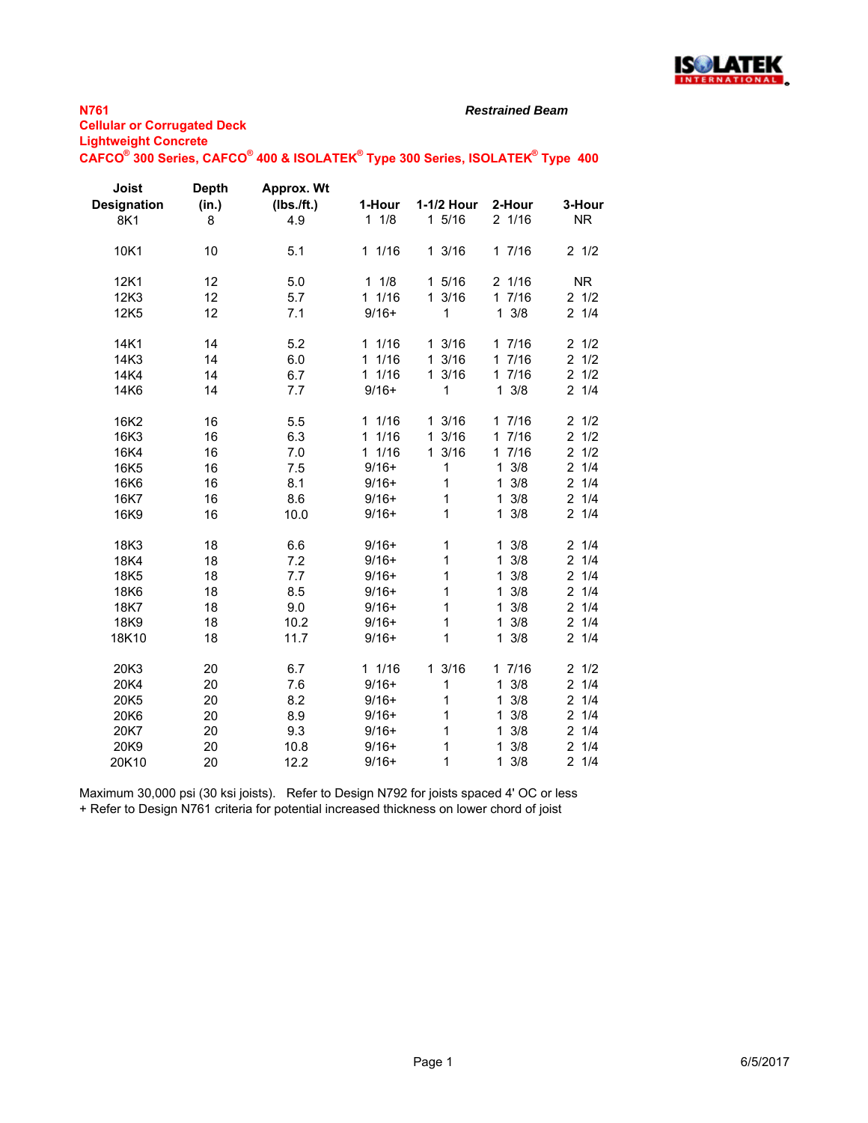

#### *Restrained Beam*

 $\mathsf{CAFCO}^\circ$  300 Series,  $\mathsf{CAFCO}^\circ$  400 & ISOLATEK $^\circ$  Type 300 Series, ISOLATEK $^\circ$  Type 400

| Joist<br><b>Designation</b><br>8K1 | <b>Depth</b><br>(in.)<br>8 | Approx. Wt<br>(Ibs./ft.)<br>4.9 | 1-Hour<br>11/8      | 1-1/2 Hour<br>1 5/16 | 2-Hour<br>2 1/16    | 3-Hour<br><b>NR</b>   |
|------------------------------------|----------------------------|---------------------------------|---------------------|----------------------|---------------------|-----------------------|
| 10K1                               | 10                         | 5.1                             | 11/16               | 13/16                | 17/16               | $2 \frac{1}{2}$       |
| 12K1                               | 12                         | 5.0                             | 11/8                | 1 5/16               | 2 1/16              | <b>NR</b>             |
| 12K3                               | 12                         | 5.7                             | 11/16               | 13/16                | 17/16               | $2 \frac{1}{2}$       |
| 12K5                               | 12                         | 7.1                             | $9/16+$             | 1                    | $1 \frac{3}{8}$     | $2 \t1/4$             |
| 14K1                               | 14                         | 5.2                             | 11/16               | 13/16                | 17/16               | $2 \frac{1}{2}$       |
| 14K3                               | 14                         | 6.0                             | 1/16<br>$\mathbf 1$ | 13/16                | 17/16               | $\overline{2}$<br>1/2 |
| 14K4                               | 14                         | 6.7                             | 11/16               | 13/16                | 17/16               | 1/2<br>$\overline{2}$ |
| 14K6                               | 14                         | 7.7                             | $9/16+$             | 1                    | $1 \frac{3}{8}$     | $2 \t1/4$             |
| 16K2                               | 16                         | 5.5                             | 11/16               | 13/16                | 17/16               | $2 \frac{1}{2}$       |
| 16K3                               | 16                         | 6.3                             | 11/16               | 3/16<br>1.           | 17/16               | $\overline{2}$<br>1/2 |
| 16K4                               | 16                         | 7.0                             | 11/16               | 13/16                | 17/16               | $\overline{c}$<br>1/2 |
| 16K5                               | 16                         | 7.5                             | $9/16+$             | 1                    | 3/8<br>$\mathbf{1}$ | $\overline{2}$<br>1/4 |
| 16K6                               | 16                         | 8.1                             | $9/16+$             | 1                    | 3/8<br>1            | $\overline{2}$<br>1/4 |
| 16K7                               | 16                         | 8.6                             | $9/16+$             | 1                    | 3/8<br>$\mathbf{1}$ | 1/4<br>$\overline{2}$ |
| 16K9                               | 16                         | 10.0                            | $9/16+$             | 1                    | 3/8<br>$\mathbf{1}$ | 21/4                  |
| 18K3                               | 18                         | 6.6                             | $9/16+$             | 1                    | $1 \frac{3}{8}$     | $2 \t1/4$             |
| 18K4                               | 18                         | 7.2                             | $9/16+$             | $\mathbf 1$          | 3/8<br>$\mathbf{1}$ | 1/4<br>$\overline{2}$ |
| 18K5                               | 18                         | 7.7                             | $9/16+$             | 1                    | 3/8<br>1            | $\overline{a}$<br>1/4 |
| 18K6                               | 18                         | 8.5                             | $9/16+$             | $\mathbf 1$          | 3/8<br>$\mathbf{1}$ | $\overline{2}$<br>1/4 |
| 18K7                               | 18                         | 9.0                             | $9/16+$             | 1                    | 3/8<br>1            | $\overline{2}$<br>1/4 |
| 18K9                               | 18                         | 10.2                            | $9/16+$             | $\mathbf 1$          | 3/8<br>$\mathbf{1}$ | 1/4<br>$\overline{2}$ |
| 18K10                              | 18                         | 11.7                            | $9/16+$             | 1                    | 3/8<br>$\mathbf{1}$ | 21/4                  |
| 20K3                               | 20                         | 6.7                             | 11/16               | 13/16                | 17/16               | $2 \frac{1}{2}$       |
| 20K4                               | 20                         | 7.6                             | $9/16+$             | 1                    | 3/8<br>$\mathbf{1}$ | 1/4<br>$\overline{2}$ |
| 20K5                               | 20                         | 8.2                             | $9/16+$             | 1                    | 3/8<br>1            | $\overline{2}$<br>1/4 |
| 20K6                               | 20                         | 8.9                             | $9/16+$             | 1                    | 3/8<br>$\mathbf{1}$ | 2 <sup>1</sup><br>1/4 |
| 20K7                               | 20                         | 9.3                             | $9/16+$             | 1                    | 3/8<br>$\mathbf{1}$ | 21/4                  |
| 20K9                               | 20                         | 10.8                            | $9/16+$             | 1                    | 3/8<br>1            | 2 <sup>1</sup><br>1/4 |
| 20K10                              | 20                         | 12.2                            | $9/16+$             | 1                    | $1 \frac{3}{8}$     | 21/4                  |

Maximum 30,000 psi (30 ksi joists). Refer to Design N792 for joists spaced 4' OC or less + Refer to Design N761 criteria for potential increased thickness on lower chord of joist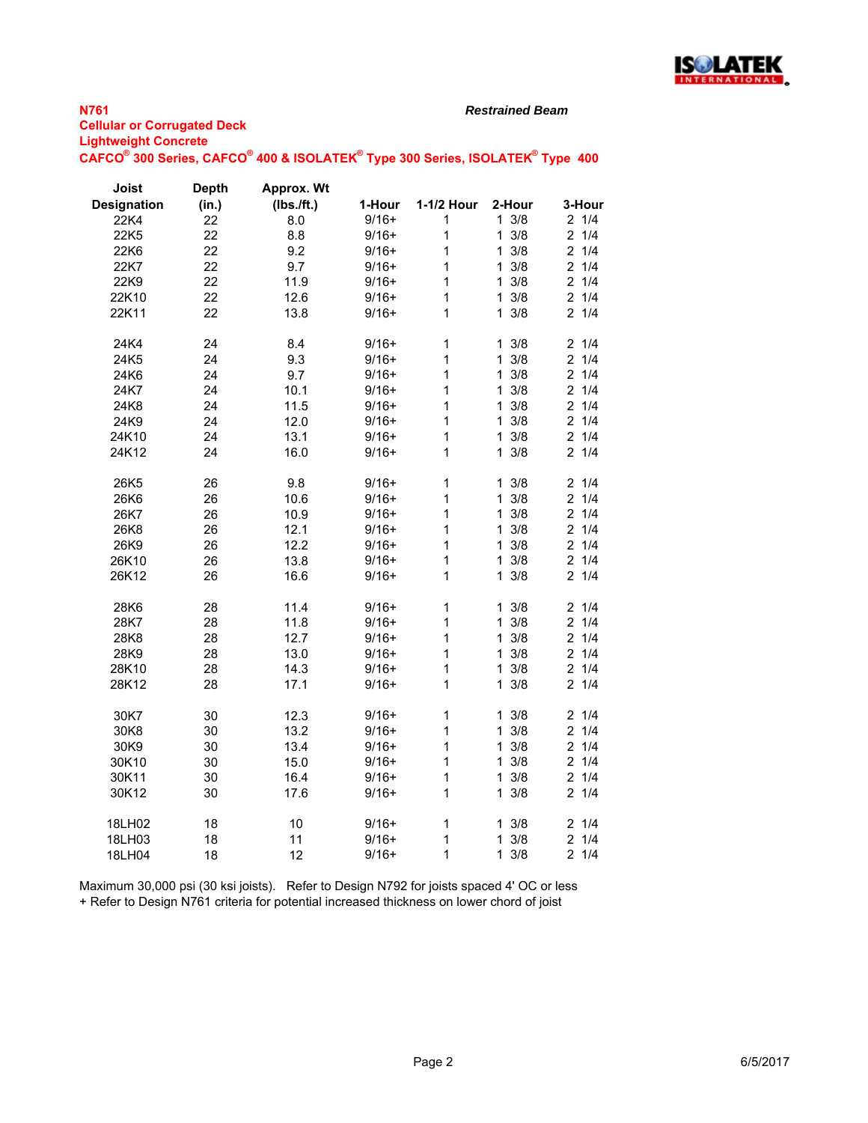

#### *Restrained Beam*

| -gumogum vonorom |                                                                               |  |  |
|------------------|-------------------------------------------------------------------------------|--|--|
|                  | CAFCO® 300 Series, CAFCO® 400 & ISOLATEK® Type 300 Series, ISOLATEK® Type 400 |  |  |

| Joist              | <b>Depth</b> | Approx. Wt |         |             |                     |           |
|--------------------|--------------|------------|---------|-------------|---------------------|-----------|
| <b>Designation</b> | (in.)        | (Ibs./ft.) | 1-Hour  | 1-1/2 Hour  | 2-Hour              | 3-Hour    |
| 22K4               | 22           | 8.0        | $9/16+$ | 1           | $1 \frac{3}{8}$     | $2 \t1/4$ |
| 22K5               | 22           | 8.8        | $9/16+$ | 1           | $1 \frac{3}{8}$     | $2 \t1/4$ |
| 22K6               | 22           | 9.2        | $9/16+$ | 1           | 3/8<br>1.           | $2 \t1/4$ |
| 22K7               | 22           | 9.7        | $9/16+$ | 1           | $1 \frac{3}{8}$     | $2 \t1/4$ |
| 22K9               | 22           | 11.9       | $9/16+$ | 1           | $1 \frac{3}{8}$     | $2 \t1/4$ |
| 22K10              | 22           | 12.6       | $9/16+$ | 1           | $1 \frac{3}{8}$     | $2 \t1/4$ |
| 22K11              | 22           | 13.8       | $9/16+$ | 1           | $1 \frac{3}{8}$     | $2 \t1/4$ |
| 24K4               | 24           | 8.4        | $9/16+$ | 1           | 3/8<br>1.           | 21/4      |
| 24K5               | 24           | 9.3        | $9/16+$ | 1           | 3/8<br>1            | 21/4      |
| 24K6               | 24           | 9.7        | $9/16+$ | 1           | $1 \frac{3}{8}$     | $2 \t1/4$ |
| 24K7               | 24           | 10.1       | $9/16+$ | 1           | 3/8<br>$\mathbf{1}$ | $2 \t1/4$ |
| 24K8               | 24           | 11.5       | $9/16+$ | 1           | $\mathbf{1}$<br>3/8 | 21/4      |
| 24K9               | 24           | 12.0       | $9/16+$ | 1           | 3/8<br>$\mathbf{1}$ | $2 \t1/4$ |
| 24K10              | 24           | 13.1       | $9/16+$ | 1           | 3/8<br>1            | $2 \t1/4$ |
| 24K12              | 24           | 16.0       | $9/16+$ | 1           | 3/8<br>$\mathbf{1}$ | $2 \t1/4$ |
| 26K5               | 26           | 9.8        | $9/16+$ | $\mathbf 1$ | $1 \frac{3}{8}$     | 21/4      |
| 26K6               | 26           | 10.6       | $9/16+$ | 1           | 3/8<br>1            | 21/4      |
| 26K7               | 26           | 10.9       | $9/16+$ | 1           | 3/8<br>1.           | $2 \t1/4$ |
| 26K8               | 26           | 12.1       | $9/16+$ | 1           | $1 \frac{3}{8}$     | $2 \t1/4$ |
| 26K9               | 26           | 12.2       | $9/16+$ | 1           | 3/8<br>$\mathbf{1}$ | $2 \t1/4$ |
| 26K10              | 26           | 13.8       | $9/16+$ | 1           | 3/8<br>1            | 21/4      |
| 26K12              | 26           | 16.6       | $9/16+$ | 1           | $1 \frac{3}{8}$     | $2 \t1/4$ |
| 28K6               | 28           | 11.4       | $9/16+$ | $\mathbf 1$ | 3/8<br>1.           | 21/4      |
| 28K7               | 28           | 11.8       | $9/16+$ | 1           | 3/8<br>1            | $2 \t1/4$ |
| 28K8               | 28           | 12.7       | $9/16+$ | 1           | 3/8<br>1.           | $2 \t1/4$ |
| 28K9               | 28           | 13.0       | $9/16+$ | 1           | $1 \frac{3}{8}$     | 21/4      |
| 28K10              | 28           | 14.3       | $9/16+$ | 1           | 3/8<br>1            | $2 \t1/4$ |
| 28K12              | 28           | 17.1       | $9/16+$ | 1           | $1 \frac{3}{8}$     | 21/4      |
| 30K7               | 30           | 12.3       | $9/16+$ | 1           | 3/8<br>1            | 21/4      |
| 30K8               | 30           | 13.2       | $9/16+$ | 1           | $1 \frac{3}{8}$     | $2 \t1/4$ |
| 30K9               | 30           | 13.4       | $9/16+$ | 1           | 3/8<br>1.           | 21/4      |
| 30K10              | 30           | 15.0       | $9/16+$ | 1           | $1 \frac{3}{8}$     | $2 \t1/4$ |
| 30K11              | 30           | 16.4       | $9/16+$ | 1           | 3/8<br>1            | $2 \t1/4$ |
| 30K12              | 30           | 17.6       | $9/16+$ | 1           | $1 \t3/8$           | 21/4      |
| 18LH02             | 18           | 10         | $9/16+$ | 1           | 3/8<br>1            | 21/4      |
| 18LH03             | 18           | 11         | $9/16+$ | 1           | $\mathbf{1}$<br>3/8 | 21/4      |
| 18LH04             | 18           | 12         | $9/16+$ | 1           | $1 \frac{3}{8}$     | 21/4      |

Maximum 30,000 psi (30 ksi joists). Refer to Design N792 for joists spaced 4' OC or less + Refer to Design N761 criteria for potential increased thickness on lower chord of joist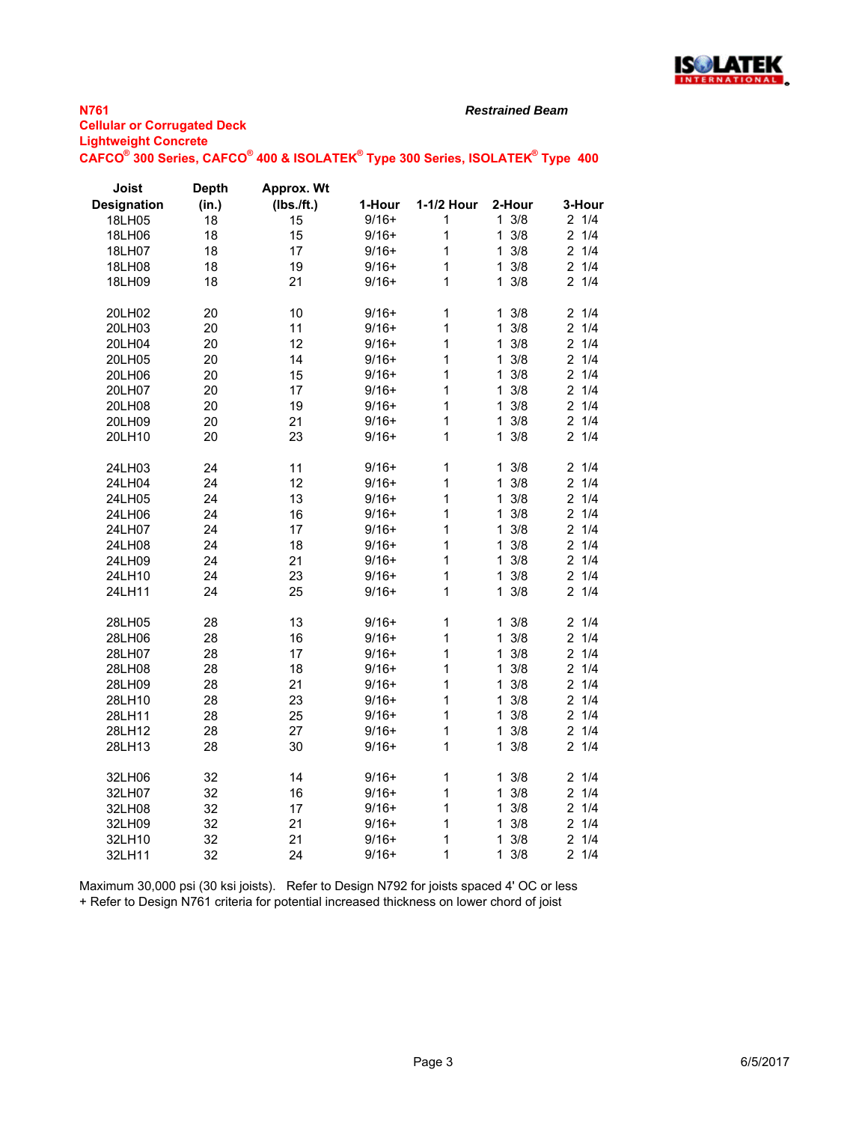

#### *Restrained Beam*

 $\mathsf{CAFCO}^\circ$  300 Series,  $\mathsf{CAFCO}^\circ$  400 & ISOLATEK $^\circ$  Type 300 Series, ISOLATEK $^\circ$  Type 400

| Joist              | <b>Depth</b> | Approx. Wt |         |              |                     |                       |
|--------------------|--------------|------------|---------|--------------|---------------------|-----------------------|
| <b>Designation</b> | (in.)        | (Ibs./ft.) | 1-Hour  | 1-1/2 Hour   | 2-Hour              | 3-Hour                |
| 18LH05             | 18           | 15         | $9/16+$ | 1            | $1 \frac{3}{8}$     | 21/4                  |
| 18LH06             | 18           | 15         | $9/16+$ | 1            | 3/8<br>$\mathbf{1}$ | 21/4                  |
| 18LH07             | 18           | 17         | $9/16+$ | 1            | 3/8<br>$\mathbf{1}$ | 2<br>1/4              |
| 18LH08             | 18           | 19         | $9/16+$ | 1            | 3/8<br>$\mathbf{1}$ | 21/4                  |
| 18LH09             | 18           | 21         | $9/16+$ | 1            | $1 \frac{3}{8}$     | 21/4                  |
| 20LH02             | 20           | 10         | $9/16+$ | $\mathbf{1}$ | 3/8<br>1            | 2<br>1/4              |
| 20LH03             | 20           | 11         | $9/16+$ | 1            | 3/8<br>1            | $\overline{2}$<br>1/4 |
| 20LH04             | 20           | 12         | $9/16+$ | 1            | 3/8<br>$\mathbf 1$  | $\overline{c}$<br>1/4 |
| 20LH05             | 20           | 14         | $9/16+$ | 1            | $1 \frac{3}{8}$     | 1/4<br>2              |
| 20LH06             | 20           | 15         | $9/16+$ | 1            | 3/8<br>1.           | 1/4<br>$\overline{2}$ |
| 20LH07             | 20           | 17         | $9/16+$ | 1            | 3/8<br>$\mathbf{1}$ | 21/4                  |
| 20LH08             | 20           | 19         | $9/16+$ | 1            | $\mathbf{1}$<br>3/8 | 21/4                  |
| 20LH09             | 20           | 21         | $9/16+$ | 1            | 3/8<br>$\mathbf{1}$ | 1/4<br>2              |
| 20LH10             | 20           | 23         | $9/16+$ | 1            | 3/8<br>1            | 21/4                  |
| 24LH03             | 24           | 11         | $9/16+$ | 1            | 3/8<br>$\mathbf{1}$ | 2<br>1/4              |
| 24LH04             | 24           | 12         | $9/16+$ | 1            | 3/8<br>$\mathbf{1}$ | 21/4                  |
| 24LH05             | 24           | 13         | $9/16+$ | 1            | 3/8<br>$\mathbf 1$  | 1/4<br>2              |
| 24LH06             | 24           | 16         | $9/16+$ | 1            | 3/8<br>$\mathbf{1}$ | $\overline{2}$<br>1/4 |
| 24LH07             | 24           | 17         | $9/16+$ | 1            | $1 \frac{3}{8}$     | $\overline{2}$<br>1/4 |
| 24LH08             | 24           | 18         | $9/16+$ | 1            | $\mathbf{1}$<br>3/8 | $\overline{2}$<br>1/4 |
| 24LH09             | 24           | 21         | $9/16+$ | 1            | $1 \frac{3}{8}$     | 2<br>1/4              |
| 24LH10             | 24           | 23         | $9/16+$ | $\mathbf{1}$ | 3/8<br>$\mathbf{1}$ | 1/4<br>$\overline{2}$ |
| 24LH11             | 24           | 25         | $9/16+$ | 1            | $\mathbf{1}$<br>3/8 | 21/4                  |
| 28LH05             | 28           | 13         | $9/16+$ | $\mathbf{1}$ | 3/8<br>1            | 2<br>1/4              |
| 28LH06             | 28           | 16         | $9/16+$ | 1            | 3/8<br>$\mathbf{1}$ | 21/4                  |
| 28LH07             | 28           | 17         | $9/16+$ | 1            | 3/8<br>$\mathbf{1}$ | 1/4<br>2              |
| 28LH08             | 28           | 18         | $9/16+$ | 1            | 3/8<br>$\mathbf{1}$ | $\overline{2}$<br>1/4 |
| 28LH09             | 28           | 21         | $9/16+$ | 1            | $1 \frac{3}{8}$     | $\overline{2}$<br>1/4 |
| 28LH10             | 28           | 23         | $9/16+$ | 1            | 3/8<br>$\mathbf 1$  | $\overline{2}$<br>1/4 |
| 28LH11             | 28           | 25         | $9/16+$ | 1            | 3/8<br>$\mathbf{1}$ | $\overline{2}$<br>1/4 |
| 28LH12             | 28           | 27         | $9/16+$ | 1            | 3/8<br>$\mathbf{1}$ | 21/4                  |
| 28LH13             | 28           | 30         | $9/16+$ | 1            | 3/8<br>1            | 21/4                  |
| 32LH06             | 32           | 14         | $9/16+$ | $\mathbf{1}$ | $1 \frac{3}{8}$     | 21/4                  |
| 32LH07             | 32           | 16         | $9/16+$ | 1            | 3/8<br>$\mathbf{1}$ | 21/4                  |
| 32LH08             | 32           | 17         | $9/16+$ | 1            | 3/8<br>$\mathbf{1}$ | 1/4<br>2              |
| 32LH09             | 32           | 21         | $9/16+$ | 1            | 3/8<br>1            | $\overline{2}$<br>1/4 |
| 32LH10             | 32           | 21         | $9/16+$ | 1            | 1<br>3/8            | $\overline{2}$<br>1/4 |
| 32LH11             | 32           | 24         | $9/16+$ | 1            | 3/8<br>$\mathbf 1$  | 1/4<br>2              |

Maximum 30,000 psi (30 ksi joists). Refer to Design N792 for joists spaced 4' OC or less + Refer to Design N761 criteria for potential increased thickness on lower chord of joist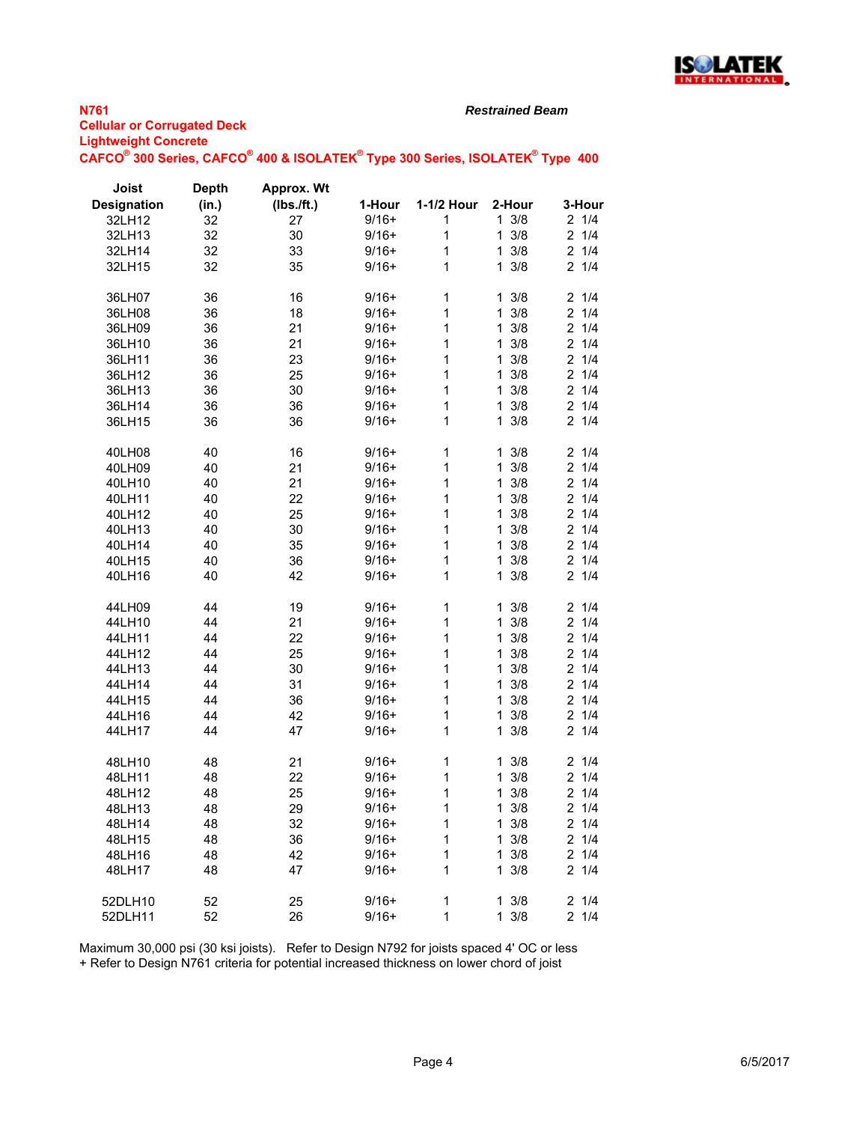

#### **N761 Cellular or Corrugated Deck Lightweight Concrete**  $\mathsf{CAFCO}^\circ$  300 Series,  $\mathsf{CAFCO}^\circ$  400 & ISOLATEK $^\circ$  Type 300 Series, ISOLATEK $^\circ$  Type 400

*Restrained Beam*

| <b>Joist</b>       | <b>Depth</b> | Approx. Wt   |         |            |                 |                 |
|--------------------|--------------|--------------|---------|------------|-----------------|-----------------|
| <b>Designation</b> | (in.)        | $(Ibs.$ ft.) | 1-Hour  | 1-1/2 Hour | 2-Hour          | 3-Hour          |
| 32LH12             | 32           | 27           | $9/16+$ |            | $1 \frac{3}{8}$ | $2 \frac{1}{4}$ |
| 32LH13             | 32           | 30           | $9/16+$ | 1          | 3/8<br>1.       | $2 \frac{1}{4}$ |
| 32LH14             | 32           | 33           | $9/16+$ | 1          | 3/8<br>1.       | $2 \frac{1}{4}$ |
| 32LH15             | 32           | 35           | $9/16+$ | 1          | $1 \frac{3}{8}$ | $2 \frac{1}{4}$ |
| 36LH07             | 36           | 16           | $9/16+$ | 1          | $1 \frac{3}{8}$ | $2 \frac{1}{4}$ |
| 36LH08             | 36           | 18           | $9/16+$ | 1          | 3/8<br>1.       | $2 \frac{1}{4}$ |
| 36LH09             | 36           | 21           | $9/16+$ | 1          | 3/8<br>1.       | $2 \frac{1}{4}$ |
| 36LH10             | 36           | 21           | $9/16+$ | 1          | 3/8<br>1.       | $2 \frac{1}{4}$ |
| 36LH11             | 36           | 23           | $9/16+$ | 1          | 3/8<br>1.       | $2 \frac{1}{4}$ |
| 36LH12             | 36           | 25           | $9/16+$ | 1          | $1 \frac{3}{8}$ | $2 \frac{1}{4}$ |
| 36LH13             | 36           | 30           | $9/16+$ | 1          | $1 \frac{3}{8}$ | $2 \frac{1}{4}$ |
| 36LH14             | 36           | 36           | $9/16+$ | 1          | $1 \frac{3}{8}$ | $2 \frac{1}{4}$ |
| 36LH15             | 36           | 36           | $9/16+$ | 1          | 3/8<br>1.       | $2 \frac{1}{4}$ |
| 40LH08             | 40           | 16           | $9/16+$ | 1          | 3/8<br>1.       | $2 \frac{1}{4}$ |

| 40LH08  | 40 | 16 | $9/16+$ | 1 | 3/8<br>1            | $2 \frac{1}{4}$       |
|---------|----|----|---------|---|---------------------|-----------------------|
| 40LH09  | 40 | 21 | $9/16+$ | 1 | 3/8<br>1            | $\overline{2}$<br>1/4 |
| 40LH10  | 40 | 21 | $9/16+$ | 1 | 3/8<br>1            | $\overline{2}$<br>1/4 |
| 40LH11  | 40 | 22 | $9/16+$ | 1 | 3/8<br>1            | 1/4<br>2              |
| 40LH12  | 40 | 25 | $9/16+$ | 1 | 3/8<br>1            | 1/4<br>2              |
| 40LH13  | 40 | 30 | $9/16+$ | 1 | 3/8<br>1            | 1/4<br>2              |
| 40LH14  | 40 | 35 | $9/16+$ | 1 | 3/8<br>1            | 1/4<br>2              |
| 40LH15  | 40 | 36 | $9/16+$ | 1 | 3/8<br>1            | $\overline{2}$<br>1/4 |
| 40LH16  | 40 | 42 | $9/16+$ | 1 | 3/8<br>$\mathbf{1}$ | $2 \t1/4$             |
|         |    |    |         |   |                     |                       |
| 44LH09  | 44 | 19 | $9/16+$ | 1 | 3/8<br>1            | $2 \t1/4$             |
| 44LH10  | 44 | 21 | $9/16+$ | 1 | 3/8<br>1            | $\overline{2}$<br>1/4 |
| 44LH11  | 44 | 22 | $9/16+$ | 1 | 3/8<br>1            | $\overline{2}$<br>1/4 |
| 44LH12  | 44 | 25 | $9/16+$ | 1 | 3/8<br>1            | 1/4<br>$\overline{2}$ |
| 44LH13  | 44 | 30 | $9/16+$ | 1 | 3/8<br>1            | $\overline{2}$<br>1/4 |
| 44LH14  | 44 | 31 | $9/16+$ | 1 | 3/8<br>1            | 1/4<br>$\overline{2}$ |
| 44LH15  | 44 | 36 | $9/16+$ | 1 | 3/8<br>$\mathbf{1}$ | $\overline{2}$<br>1/4 |
| 44LH16  | 44 | 42 | $9/16+$ | 1 | 3/8<br>1            | 1/4<br>$\overline{2}$ |
| 44LH17  | 44 | 47 | $9/16+$ | 1 | 3/8<br>$\mathbf{1}$ | 21/4                  |
|         |    |    |         |   |                     |                       |
| 48LH10  | 48 | 21 | $9/16+$ | 1 | 3/8<br>1            | 21/4                  |
| 48LH11  | 48 | 22 | $9/16+$ | 1 | 3/8<br>1            | $\overline{2}$<br>1/4 |
| 48LH12  | 48 | 25 | $9/16+$ | 1 | 3/8<br>1            | $\overline{2}$<br>1/4 |
| 48LH13  | 48 | 29 | $9/16+$ | 1 | 3/8<br>1            | 1/4<br>$\overline{2}$ |
| 48LH14  | 48 | 32 | $9/16+$ | 1 | 3/8<br>1            | $\overline{2}$<br>1/4 |
| 48LH15  | 48 | 36 | $9/16+$ | 1 | 3/8<br>1            | $\overline{2}$<br>1/4 |
| 48LH16  | 48 | 42 | $9/16+$ | 1 | 3/8<br>1            | $\overline{2}$<br>1/4 |
| 48LH17  | 48 | 47 | $9/16+$ | 1 | 3/8<br>1            | $2 \t1/4$             |
|         |    |    |         |   |                     |                       |
| 52DLH10 | 52 | 25 | $9/16+$ | 1 | 3/8<br>$\mathbf{1}$ | $2 \frac{1}{4}$       |
| 52DLH11 | 52 | 26 | $9/16+$ | 1 | 3/8<br>1            | $\overline{2}$<br>1/4 |

Maximum 30,000 psi (30 ksi joists). Refer to Design N792 for joists spaced 4' OC or less

+ Refer to Design N761 criteria for potential increased thickness on lower chord of joist